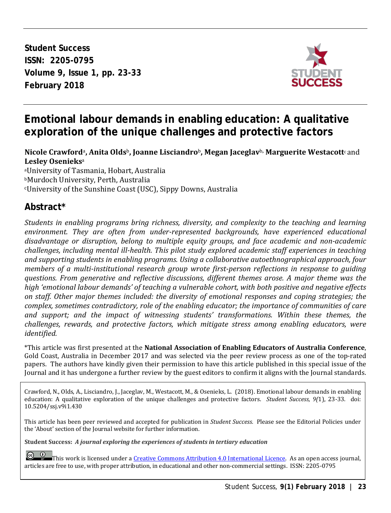**Student Success ISSN: 2205-0795 Volume 9, Issue 1, pp. 23-33 February 2018**



# **Emotional labour demands in enabling education: A qualitative exploration of the unique challenges and protective factors**

#### **Nicole Crawford**a**, Anita Olds**b**, Joanne Lisciandro**b**, Megan Jaceglav**b**, Marguerite Westacott**c and **Lesley Osenieks**<sup>a</sup>

aUniversity of Tasmania, Hobart, Australia bMurdoch University, Perth, Australia cUniversity of the Sunshine Coast (USC), Sippy Downs, Australia

# **Abstract\***

*Students in enabling programs bring richness, diversity, and complexity to the teaching and learning environment. They are often from under-represented backgrounds, have experienced educational disadvantage or disruption, belong to multiple equity groups, and face academic and non-academic challenges, including mental ill-health. This pilot study explored academic staff experiences in teaching and supporting students in enabling programs. Using a collaborative autoethnographical approach, four members of a multi-institutional research group wrote first-person reflections in response to guiding questions. From generative and reflective discussions, different themes arose. A major theme was the high 'emotional labour demands' of teaching a vulnerable cohort, with both positive and negative effects on staff. Other major themes included: the diversity of emotional responses and coping strategies; the complex, sometimes contradictory, role of the enabling educator; the importance of communities of care and support; and the impact of witnessing students' transformations. Within these themes, the challenges, rewards, and protective factors, which mitigate stress among enabling educators, were identified.*

\*This article was first presented at the **National Association of Enabling Educators of Australia Conference**, Gold Coast, Australia in December 2017 and was selected via the peer review process as one of the top-rated papers. The authors have kindly given their permission to have this article published in this special issue of the Journal and it has undergone a further review by the guest editors to confirm it aligns with the Journal standards.

Crawford, N., Olds, A., Lisciandro, J., Jaceglav, M., Westacott, M., & Osenieks, L. (2018). Emotional labour demands in enabling education: A qualitative exploration of the unique challenges and protective factors. *Student Success, 9(*1), 23-33. doi: 10.5204/ssj.v9i1.430

This article has been peer reviewed and accepted for publication in *Student Success.* Please see the Editorial Policies under the 'About' section of the Journal website for further information.

**Student Success:** *A journal exploring the experiences of students in tertiary education*

 $\left[$ This work is licensed under [a Creative Commons Attribution 4.0 International Licence.](https://creativecommons.org/licenses/by/4.0/) As an open access journal, articles are free to use, with proper attribution, in educational and other non-commercial settings. ISSN: 2205-0795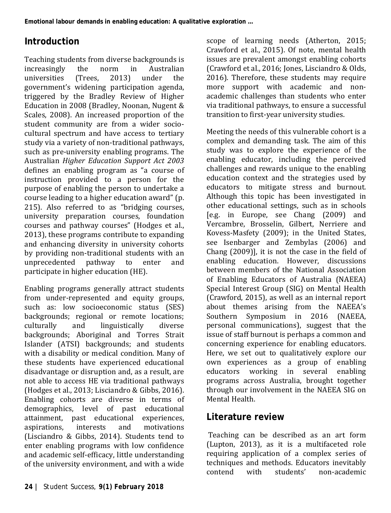# **Introduction**

Teaching students from diverse backgrounds is<br>increasingly the norm in Australian increasingly the norm in Australian<br>universities (Trees. 2013) under the universities (Trees, 2013) under the government's widening participation agenda, triggered by the Bradley Review of Higher Education in 2008 (Bradley, Noonan, Nugent & Scales, 2008). An increased proportion of the student community are from a wider sociocultural spectrum and have access to tertiary study via a variety of non-traditional pathways, such as pre-university enabling programs. The Australian *Higher Education Support Act 2003* defines an enabling program as "a course of instruction provided to a person for the purpose of enabling the person to undertake a course leading to a higher education award" (p. 215). Also referred to as "bridging courses, university preparation courses, foundation courses and pathway courses" (Hodges et al., 2013), these programs contribute to expanding and enhancing diversity in university cohorts by providing non-traditional students with an<br>unprecedented pathway to enter and unprecedented participate in higher education (HE).

Enabling programs generally attract students from under-represented and equity groups, such as: low socioeconomic status (SES) backgrounds; regional or remote locations;<br>culturally and linguistically diverse culturally and linguistically diverse backgrounds; Aboriginal and Torres Strait Islander (ATSI) backgrounds; and students with a disability or medical condition. Many of these students have experienced educational disadvantage or disruption and, as a result, are not able to access HE via traditional pathways (Hodges et al., 2013; Lisciandro & Gibbs, 2016). Enabling cohorts are diverse in terms of demographics, level of past educational attainment, past educational experiences, aspirations, interests and motivations (Lisciandro & Gibbs, 2014). Students tend to enter enabling programs with low confidence and academic self-efficacy, little understanding of the university environment, and with a wide

scope of learning needs (Atherton, 2015; Crawford et al., 2015). Of note, mental health issues are prevalent amongst enabling cohorts (Crawford et al., 2016; Jones, Lisciandro & Olds, 2016). Therefore, these students may require more support with academic and nonacademic challenges than students who enter via traditional pathways, to ensure a successful transition to first-year university studies.

Meeting the needs of this vulnerable cohort is a complex and demanding task. The aim of this study was to explore the experience of the enabling educator, including the perceived challenges and rewards unique to the enabling education context and the strategies used by educators to mitigate stress and burnout. Although this topic has been investigated in other educational settings, such as in schools [e.g. in Europe, see Chang (2009) and Vercambre, Brosselin, Gilbert, Nerriere and Kovess-Masfety (2009); in the United States, see Isenbarger and Zembylas (2006) and Chang (2009)], it is not the case in the field of enabling education. However, discussions between members of the National Association of Enabling Educators of Australia (NAEEA) Special Interest Group (SIG) on Mental Health (Crawford, 2015), as well as an internal report about themes arising from the NAEEA's<br>Southern Symposium in 2016 (NAEEA, Symposium in personal communications), suggest that the issue of staff burnout is perhaps a common and concerning experience for enabling educators. Here, we set out to qualitatively explore our own experiences as a group of enabling educators working in several enabling programs across Australia, brought together through our involvement in the NAEEA SIG on Mental Health.

# **Literature review**

Teaching can be described as an art form (Lupton, 2013), as it is a multifaceted role requiring application of a complex series of techniques and methods. Educators inevitably<br>contend with students' non-academic non-academic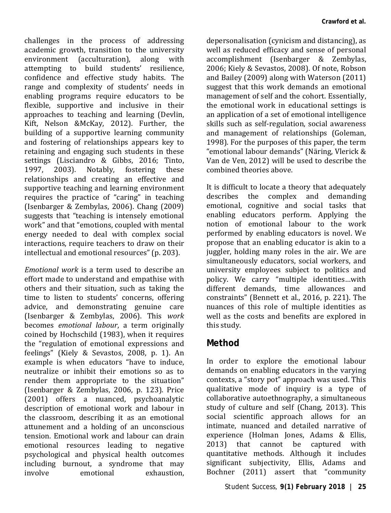challenges in the process of addressing academic growth, transition to the university<br>environment (acculturation), along with environment (acculturation). attempting to build students' resilience, confidence and effective study habits. The range and complexity of students' needs in enabling programs require educators to be flexible, supportive and inclusive in their approaches to teaching and learning (Devlin, Kift, Nelson &McKay, 2012). Further, the building of a supportive learning community and fostering of relationships appears key to retaining and engaging such students in these settings (Lisciandro & Gibbs, 2016; Tinto,<br>1997. 2003). Notably, fostering these 2003). Notably, relationships and creating an effective and supportive teaching and learning environment requires the practice of "caring" in teaching (Isenbarger & Zembylas, 2006). Chang (2009) suggests that "teaching is intensely emotional work" and that "emotions, coupled with mental energy needed to deal with complex social interactions, require teachers to draw on their intellectual and emotional resources" (p. 203).

*Emotional work* is a term used to describe an effort made to understand and empathise with others and their situation, such as taking the time to listen to students' concerns, offering advice, and demonstrating genuine care (Isenbarger & Zembylas, 2006). This *work* becomes *emotional labour*, a term originally coined by Hochschild (1983), when it requires the "regulation of emotional expressions and feelings" (Kiely & Sevastos, 2008, p. 1). An example is when educators "have to induce, neutralize or inhibit their emotions so as to render them appropriate to the situation" (Isenbarger & Zembylas, 2006, p. 123). Price (2001) offers a nuanced, psychoanalytic description of emotional work and labour in the classroom, describing it as an emotional attunement and a holding of an unconscious tension. Emotional work and labour can drain emotional resources leading to negative psychological and physical health outcomes including burnout, a syndrome that may exhaustion.

depersonalisation (cynicism and distancing), as well as reduced efficacy and sense of personal accomplishment (Isenbarger & Zembylas, 2006; Kiely & Sevastos, 2008). Of note, Robson and Bailey (2009) along with Waterson (2011) suggest that this work demands an emotional management of self and the cohort. Essentially, the emotional work in educational settings is an application of a set of emotional intelligence skills such as self-regulation, social awareness and management of relationships (Goleman, 1998). For the purposes of this paper, the term "emotional labour demands" (Näring, Vlerick & Van de Ven, 2012) will be used to describe the combined theories above.

It is difficult to locate a theory that adequately describes the complex and demanding emotional, cognitive and social tasks that enabling educators perform. Applying the notion of emotional labour to the work performed by enabling educators is novel. We propose that an enabling educator is akin to a juggler, holding many roles in the air. We are simultaneously educators, social workers, and university employees subject to politics and policy. We carry "multiple identities…with different demands, time allowances and constraints" (Bennett et al., 2016, p. 221). The nuances of this role of multiple identities as well as the costs and benefits are explored in this study.

#### **Method**

In order to explore the emotional labour demands on enabling educators in the varying contexts, a "story pot" approach was used. This qualitative mode of inquiry is a type of collaborative autoethnography, a simultaneous study of culture and self (Chang, 2013). This social scientific approach allows for an intimate, nuanced and detailed narrative of experience (Holman Jones, Adams & Ellis, 2013) that cannot be captured with quantitative methods. Although it includes significant subjectivity, Ellis, Adams and Bochner (2011) assert that "community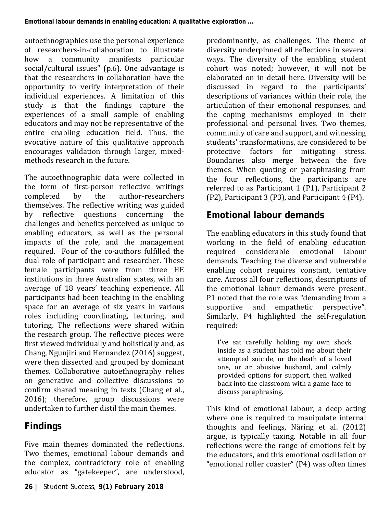autoethnographies use the personal experience of researchers-in-collaboration to illustrate<br>how a community manifests particular manifests particular social/cultural issues" (p.6). One advantage is that the researchers-in-collaboration have the opportunity to verify interpretation of their individual experiences. A limitation of this study is that the findings capture the experiences of a small sample of enabling educators and may not be representative of the entire enabling education field. Thus, the evocative nature of this qualitative approach encourages validation through larger, mixedmethods research in the future.

The autoethnographic data were collected in the form of first-person reflective writings<br>completed by the author-researchers author-researchers themselves. The reflective writing was guided<br>by reflective questions concerning the reflective questions concerning the challenges and benefits perceived as unique to enabling educators, as well as the personal impacts of the role, and the management required. Four of the co-authors fulfilled the dual role of participant and researcher. These female participants were from three HE institutions in three Australian states, with an average of 18 years' teaching experience. All participants had been teaching in the enabling space for an average of six years in various roles including coordinating, lecturing, and tutoring. The reflections were shared within the research group. The reflective pieces were first viewed individually and holistically and, as Chang, Ngunjiri and Hernandez (2016) suggest, were then dissected and grouped by dominant themes. Collaborative autoethnography relies on generative and collective discussions to confirm shared meaning in texts (Chang et al., 2016); therefore, group discussions were undertaken to further distil the main themes.

# **Findings**

Five main themes dominated the reflections. Two themes, emotional labour demands and the complex, contradictory role of enabling educator as "gatekeeper", are understood,

predominantly, as challenges. The theme of diversity underpinned all reflections in several ways. The diversity of the enabling student cohort was noted; however, it will not be elaborated on in detail here. Diversity will be discussed in regard to the participants' descriptions of variances within their role, the articulation of their emotional responses, and the coping mechanisms employed in their professional and personal lives. Two themes, community of care and support, and witnessing students' transformations, are considered to be<br>protective factors for mitigating stress. protective factors for Boundaries also merge between the five themes. When quoting or paraphrasing from the four reflections, the participants are referred to as Participant 1 (P1), Participant 2 (P2), Participant 3 (P3), and Participant 4 (P4).

# **Emotional labour demands**

The enabling educators in this study found that working in the field of enabling education<br>required considerable emotional labour required considerable emotional demands. Teaching the diverse and vulnerable enabling cohort requires constant, tentative care. Across all four reflections, descriptions of the emotional labour demands were present. P1 noted that the role was "demanding from a supportive and empathetic perspective". Similarly, P4 highlighted the self-regulation required:

I've sat carefully holding my own shock inside as a student has told me about their attempted suicide, or the death of a loved one, or an abusive husband, and calmly provided options for support, then walked back into the classroom with a game face to discuss paraphrasing.

This kind of emotional labour, a deep acting where one is required to manipulate internal thoughts and feelings, Näring et al. (2012) argue, is typically taxing. Notable in all four reflections were the range of emotions felt by the educators, and this emotional oscillation or "emotional roller coaster" (P4) was often times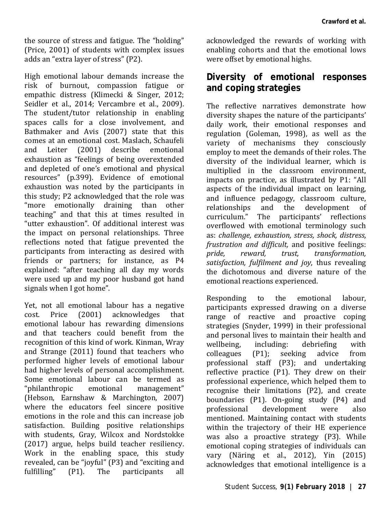the source of stress and fatigue. The "holding" (Price, 2001) of students with complex issues adds an "extra layer of stress" (P2).

High emotional labour demands increase the risk of burnout, compassion fatigue or empathic distress (Klimecki & Singer, 2012; Seidler et al., 2014: Vercambre et al., 2009). The student/tutor relationship in enabling spaces calls for a close involvement, and Bathmaker and Avis (2007) state that this comes at an emotional cost. Maslach, Schaufeli<br>and Leiter (2001) describe emotional  $(2001)$  describe exhaustion as "feelings of being overextended and depleted of one's emotional and physical resources" (p.399). Evidence of emotional exhaustion was noted by the participants in this study; P2 acknowledged that the role was "more emotionally draining than other teaching" and that this at times resulted in "utter exhaustion". Of additional interest was the impact on personal relationships. Three reflections noted that fatigue prevented the participants from interacting as desired with friends or partners; for instance, as P4 explained: "after teaching all day my words were used up and my poor husband got hand signals when I got home".

Yet, not all emotional labour has a negative<br>cost. Price (2001) acknowledges that acknowledges emotional labour has rewarding dimensions and that teachers could benefit from the recognition of this kind of work. Kinman, Wray and Strange (2011) found that teachers who performed higher levels of emotional labour had higher levels of personal accomplishment. Some emotional labour can be termed as<br>"philanthropic emotional management" " $philanthropic$ (Hebson, Earnshaw & Marchington, 2007) where the educators feel sincere positive emotions in the role and this can increase job satisfaction. Building positive relationships with students, Gray, Wilcox and Nordstokke (2017) argue, helps build teacher resiliency. Work in the enabling space, this study revealed, can be "joyful" (P3) and "exciting and<br>fulfilling" (P1). The participants all The participants

acknowledged the rewards of working with enabling cohorts and that the emotional lows were offset by emotional highs.

## **Diversity of emotional responses and coping strategies**

The reflective narratives demonstrate how diversity shapes the nature of the participants' daily work, their emotional responses and regulation (Goleman, 1998), as well as the variety of mechanisms they consciously employ to meet the demands of their roles. The diversity of the individual learner, which is multiplied in the classroom environment, impacts on practice, as illustrated by P1: "All aspects of the individual impact on learning, and influence pedagogy, classroom culture,<br>relationshins and the develonment of development curriculum." The participants' reflections overflowed with emotional terminology such as: *challenge, exhaustion, stress, shock, distress, frustration and difficult,* and positive feelings:  $transformation$ , *satisfaction, fulfilment and joy*, thus revealing the dichotomous and diverse nature of the emotional reactions experienced.

Responding to the emotional labour, participants expressed drawing on a diverse range of reactive and proactive coping strategies (Snyder, 1999) in their professional and personal lives to maintain their health and<br>wellbeing, including: debriefing with wellbeing, including: debriefing with<br>colleagues (P1); seeking advice from colleagues (P1); seeking advice from professional staff (P3); and undertaking reflective practice (P1). They drew on their professional experience, which helped them to recognise their limitations (P2), and create boundaries (P1). On-going study (P4) and<br>professional development were also development mentioned. Maintaining contact with students within the trajectory of their HE experience was also a proactive strategy (P3). While emotional coping strategies of individuals can vary (Näring et al., 2012), Yin (2015) acknowledges that emotional intelligence is a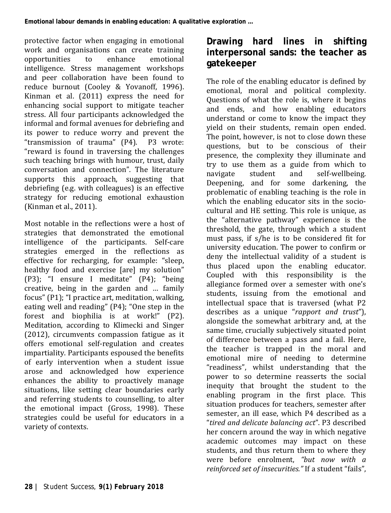protective factor when engaging in emotional work and organisations can create training<br>opportunities to enhance emotional opportunities to enhance emotional intelligence. Stress management workshops and peer collaboration have been found to reduce burnout (Cooley & Yovanoff, 1996). Kinman et al. (2011) express the need for enhancing social support to mitigate teacher stress. All four participants acknowledged the informal and formal avenues for debriefing and its power to reduce worry and prevent the "transmission of trauma" (P4). P3 wrote: "reward is found in traversing the challenges such teaching brings with humour, trust, daily conversation and connection". The literature supports this approach, suggesting that debriefing (e.g. with colleagues) is an effective strategy for reducing emotional exhaustion (Kinman et al., 2011).

Most notable in the reflections were a host of strategies that demonstrated the emotional intelligence of the participants. Self-care strategies emerged in the reflections as effective for recharging, for example: "sleep, healthy food and exercise [are] my solution" (P3); "I ensure I meditate" (P4); "being creative, being in the garden and … family focus" (P1); "I practice art, meditation, walking, eating well and reading" (P4); "One step in the forest and biophilia is at work!"  $(P2)$ . Meditation, according to Klimecki and Singer (2012), circumvents compassion fatigue as it offers emotional self-regulation and creates impartiality. Participants espoused the benefits of early intervention when a student issue arose and acknowledged how experience enhances the ability to proactively manage situations, like setting clear boundaries early and referring students to counselling, to alter the emotional impact (Gross, 1998). These strategies could be useful for educators in a variety of contexts.

### **Drawing hard lines in shifting interpersonal sands: the teacher as gatekeeper**

The role of the enabling educator is defined by emotional, moral and political complexity. Questions of what the role is, where it begins and ends, and how enabling educators understand or come to know the impact they yield on their students, remain open ended. The point, however, is not to close down these questions, but to be conscious of their presence, the complexity they illuminate and try to use them as a guide from which to self-wellbeing. Deepening, and for some darkening, the problematic of enabling teaching is the role in which the enabling educator sits in the sociocultural and HE setting. This role is unique, as the "alternative pathway" experience is the threshold, the gate, through which a student must pass, if s/he is to be considered fit for university education. The power to confirm or deny the intellectual validity of a student is thus placed upon the enabling educator. Coupled with this responsibility is the allegiance formed over a semester with one's students, issuing from the emotional and intellectual space that is traversed (what P2 describes as a unique "*rapport and trust*"), alongside the somewhat arbitrary and, at the same time, crucially subjectively situated point of difference between a pass and a fail. Here, the teacher is trapped in the moral and emotional mire of needing to determine "readiness", whilst understanding that the power to so determine reasserts the social inequity that brought the student to the enabling program in the first place. This situation produces for teachers, semester after semester, an ill ease, which P4 described as a "*tired and delicate balancing act*". P3 described her concern around the way in which negative academic outcomes may impact on these students, and thus return them to where they were before enrolment, *"but now with a reinforced set of insecurities."* If a student "fails",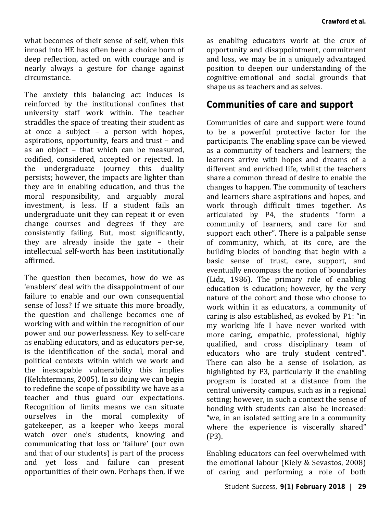what becomes of their sense of self, when this inroad into HE has often been a choice born of deep reflection, acted on with courage and is nearly always a gesture for change against circumstance.

The anxiety this balancing act induces is reinforced by the institutional confines that university staff work within. The teacher straddles the space of treating their student as at once a subject – a person with hopes, aspirations, opportunity, fears and trust – and as an object – that which can be measured, codified, considered, accepted or rejected. In the undergraduate journey this duality persists; however, the impacts are lighter than they are in enabling education, and thus the moral responsibility, and arguably moral investment, is less. If a student fails an undergraduate unit they can repeat it or even change courses and degrees if they are consistently failing. But, most significantly, they are already inside the gate – their intellectual self-worth has been institutionally affirmed.

The question then becomes, how do we as 'enablers' deal with the disappointment of our failure to enable and our own consequential sense of loss? If we situate this more broadly, the question and challenge becomes one of working with and within the recognition of our power and our powerlessness. Key to self-care as enabling educators, and as educators per-se, is the identification of the social, moral and political contexts within which we work and the inescapable vulnerability this implies [\(Kelchtermans, 2005\)](#page-9-0). In so doing we can begin to redefine the scope of possibility we have as a teacher and thus guard our expectations. Recognition of limits means we can situate ourselves in the moral complexity of gatekeeper, as a keeper who keeps moral watch over one's students, knowing and communicating that loss or 'failure' (our own and that of our students) is part of the process and yet loss and failure can present opportunities of their own. Perhaps then, if we

as enabling educators work at the crux of opportunity and disappointment, commitment and loss, we may be in a uniquely advantaged position to deepen our understanding of the cognitive-emotional and social grounds that shape us as teachers and as selves.

### **Communities of care and support**

Communities of care and support were found to be a powerful protective factor for the participants. The enabling space can be viewed as a community of teachers and learners; the learners arrive with hopes and dreams of a different and enriched life, whilst the teachers share a common thread of desire to enable the changes to happen. The community of teachers and learners share aspirations and hopes, and work through difficult times together. As articulated by P4, the students "form a community of learners, and care for and support each other". There is a palpable sense of community, which, at its core, are the building blocks of bonding that begin with a basic sense of trust, care, support, and eventually encompass the notion of boundaries (Lidz, 1986). The primary role of enabling education is education; however, by the very nature of the cohort and those who choose to work within it as educators, a community of caring is also established, as evoked by P1: "in my working life I have never worked with more caring, empathic, professional, highly qualified, and cross disciplinary team of educators who are truly student centred". There can also be a sense of isolation, as highlighted by P3, particularly if the enabling program is located at a distance from the central university campus, such as in a regional setting; however, in such a context the sense of bonding with students can also be increased: "we, in an isolated setting are in a community where the experience is viscerally shared" (P3).

Enabling educators can feel overwhelmed with the emotional labour (Kiely & Sevastos, 2008) of caring and performing a role of both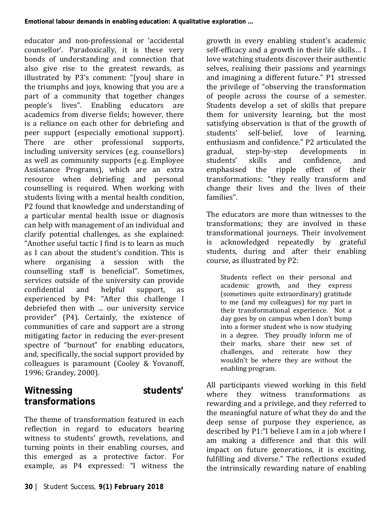educator and non-professional or 'accidental counsellor'. Paradoxically, it is these very bonds of understanding and connection that also give rise to the greatest rewards, as illustrated by P3's comment: "[you] share in the triumphs and joys, knowing that you are a part of a community that together changes people's lives". Enabling educators are academics from diverse fields; however, there is a reliance on each other for debriefing and peer support (especially emotional support). There are other professional supports, including university services (e.g. counsellors) as well as community supports (e.g. Employee Assistance Programs), which are an extra resource when debriefing and personal counselling is required. When working with students living with a mental health condition, P2 found that knowledge and understanding of a particular mental health issue or diagnosis can help with management of an individual and clarify potential challenges, as she explained: "Another useful tactic I find is to learn as much as I can about the student's condition. This is where organising a session with the counselling staff is beneficial". Sometimes, services outside of the university can provide<br>confidential and helpful support. as confidential and helpful support, as experienced by P4: "After this challenge I debriefed then with ... our university service provider" (P4). Certainly, the existence of communities of care and support are a strong mitigating factor in reducing the ever-present spectre of "burnout" for enabling educators, and, specifically, the social support provided by colleagues is paramount (Cooley & Yovanoff, 1996; Grandey, 2000).

## **Witnessing students' transformations**

The theme of transformation featured in each reflection in regard to educators bearing witness to students' growth, revelations, and turning points in their enabling courses, and this emerged as a protective factor. For example, as P4 expressed: "I witness the

growth in every enabling student's academic self-efficacy and a growth in their life skills… I love watching students discover their authentic selves, realising their passions and yearnings and imagining a different future." P1 stressed the privilege of "observing the transformation of people across the course of a semester. Students develop a set of skills that prepare them for university learning, but the most satisfying observation is that of the growth of<br>students' self-belief. love of learning. love of learning, enthusiasm and confidence." P2 articulated the gradual, step-by-step developments in gradual, step-by-step developments in students' skills and confidence, and<br>emphasised the ripple effect of their the ripple effect of transformations: "they really transform and change their lives and the lives of their families".

The educators are more than witnesses to the transformations; they are involved in these transformational journeys. Their involvement<br>is acknowledged repeatedly by grateful acknowledged repeatedly by grateful students, during and after their enabling course, as illustrated by P2:

Students reflect on their personal and academic growth, and they express (sometimes quite extraordinary) gratitude to me (and my colleagues) for my part in their transformational experience. Not a day goes by on campus when I don't bump into a former student who is now studying in a degree. They proudly inform me of their marks, share their new set of challenges, and reiterate how they wouldn't be where they are without the enabling program.

All participants viewed working in this field where they witness transformations as rewarding and a privilege, and they referred to the meaningful nature of what they do and the deep sense of purpose they experience, as described by P1:"I believe I am in a job where I am making a difference and that this will impact on future generations, it is exciting, fulfilling and diverse." The reflections exuded the intrinsically rewarding nature of enabling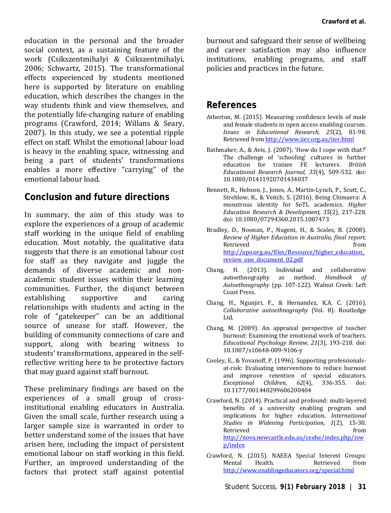education in the personal and the broader social context, as a sustaining feature of the work (Csikszentmihalyi & Csikszentmihalyi, 2006; Schwartz, 2015). The transformational effects experienced by students mentioned here is supported by literature on enabling education, which describes the changes in the way students think and view themselves, and the potentially life-changing nature of enabling programs (Crawford, 2014; Willans & Seary, 2007). In this study, we see a potential ripple effect on staff. Whilst the emotional labour load is heavy in the enabling space, witnessing and being a part of students' transformations enables a more effective "carrying" of the emotional labour load.

## **Conclusion and future directions**

In summary, the aim of this study was to explore the experiences of a group of academic staff working in the unique field of enabling education. Most notably, the qualitative data suggests that there is an emotional labour cost for staff as they navigate and juggle the demands of diverse academic and nonacademic student issues within their learning communities. Further, the disjunct between<br>establishing supportive and caring establishing supportive and caring relationships with students and acting in the role of "gatekeeper" can be an additional source of unease for staff. However, the building of community connections of care and support, along with bearing witness to students' transformations, appeared in the selfreflective writing here to be protective factors that may guard against staff burnout.

These preliminary findings are based on the experiences of a small group of crossinstitutional enabling educators in Australia. Given the small scale, further research using a larger sample size is warranted in order to better understand some of the issues that have arisen here, including the impact of persistent emotional labour on staff working in this field. Further, an improved understanding of the factors that protect staff against potential

burnout and safeguard their sense of wellbeing and career satisfaction may also influence institutions, enabling programs, and staff policies and practices in the future.

## **References**

- Atherton, M. (2015). Measuring confidence levels of male and female students in open access enabling courses. *Issues in Educational Research, 25*(2), 81-98. Retrieved fro[m http://www.iier.org.au/iier.html](http://www.iier.org.au/iier.html)
- Bathmaker, A., & Avis, J. (2007). 'How do I cope with that?' The challenge of 'schooling' cultures in further<br>education for trainee FF lecturers *British* education for trainee FE lecturers. *Educational Research Journal, 33*(4), 509-532. doi: 10.1080/01411920701434037
- Bennett, R., Hobson, J., Jones, A., Martin-Lynch, P., Scutt, C., Strehlow, K., & Veitch, S. (2016). Being Chimaera: A monstrous identity for SoTL academics. *Higher Education Research & Development, 35*(2), 217-228. doi: 10.1080/07294360.2015.1087473
- Bradley, D., Noonan, P., Nugent, H., & Scales, B. (2008). *Review of Higher Education in Australia, final report*. Retrieved from  $\sim$ [http://apo.org.au/files/Resource/higher\\_education\\_](http://apo.org.au/files/Resource/higher_education_review_one_document_02.pdf) review one document 02.pdf
- Chang, H. (2013). Individual and collaborative<br>autoethnography as method. Handbook of autoethnography as method. *Autoethnography* (pp. 107-122). Walnut Creek: Left Coast Press.
- Chang, H., Ngunjiri, F., & Hernandez, K.A. C. (2016). *Collaborative autoethnography* (Vol. 8): Routledge Ltd.
- Chang, M. (2009). An appraisal perspective of teacher burnout: Examining the emotional work of teachers. *Educational Psychology Review, 21*(3), 193-218. doi: 10.1007/s10648-009-9106-y
- Cooley, E., & Yovanoff, P. (1996). Supporting professionalsat-risk: Evaluating interventions to reduce burnout and improve retention of special educators.<br>Exceptional Children. 62(4). 336-355. doi: *Exceptional Children.* 10.1177/001440299606200404
- Crawford, N. (2014). Practical and profound: multi-layered benefits of a university enabling program and implications for higher education. *International Studies in Widening Participation, 1*(2), 15-30. Retrieved from the settlement of  $\sim$ [http://nova.newcastle.edu.au/ceehe/index.php/isw](http://nova.newcastle.edu.au/ceehe/index.php/iswp/index) [p/index](http://nova.newcastle.edu.au/ceehe/index.php/iswp/index)
- Crawford, N. (2015). NAEEA Special Interest Groups: Mental Health. Retrieved from <http://www.enablingeducators.org/special.html>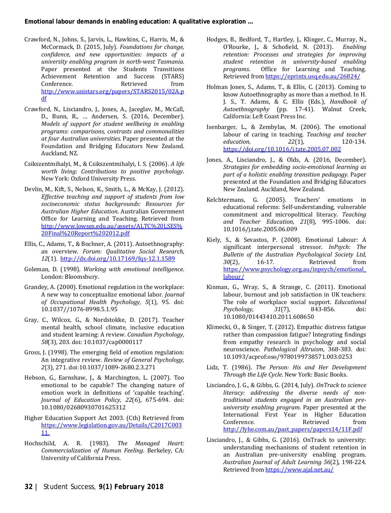- Crawford, N., Johns, S., Jarvis, L., Hawkins, C., Harris, M., & McCormack, D. (2015, July). *Foundations for change, confidence, and new opportunities: impacts of a university enabling program in north-west Tasmania.* Paper presented at the Students Transitions Achievement Retention and Success (STARS) Conference. Retrieved from [http://www.unistars.org/papers/STARS2015/02A.p](http://www.unistars.org/papers/STARS2015/02A.pdf) [df](http://www.unistars.org/papers/STARS2015/02A.pdf)
- Crawford, N., Lisciandro, J., Jones, A., Jaceglav, M., McCall, D., Bunn, R., … Andersen, S. (2016, December). *Models of support for student wellbeing in enabling programs: comparisons, contrasts and commonalities at four Australian universities.* Paper presented at the Foundation and Bridging Educators New Zealand. Auckland, NZ.
- Csikszentmihalyi, M., & Csikszentmihalyi, I. S. (2006). *A life worth living: Contributions to positive psychology*. New York: Oxford University Press.
- Devlin, M., Kift, S., Nelson, K., Smith, L., & McKay, J. (2012). *Effective teaching and support of students from low socioeconomic status backgrounds: Resources for Australian Higher Education*. Australian Government Office for Learning and Teaching. Retrieved from [http://www.lowses.edu.au/assets/ALTC%20LSES%](http://www.lowses.edu.au/assets/ALTC%20LSES%20Final%20Report%202012.pdf) [20Final%20Report%202012.pdf](http://www.lowses.edu.au/assets/ALTC%20LSES%20Final%20Report%202012.pdf)
- Ellis, C., Adams, T., & Bochner, A. (2011). Autoethnography: an overview. *Forum: Qualitative Social Research, 12*(1).<http://dx.doi.org/10.17169/fqs-12.1.1589>
- Goleman, D. (1998). *Working with emotional intelligence*. London: Bloomsbury.
- Grandey, A. (2000). Emotional regulation in the workplace: A new way to conceptualize emotional labor. *Journal of Occupational Health Psychology, 5*(1), 95. doi: 10.1037//1076-8998.5.1.95
- Gray, C., Wilcox, G., & Nordstokke, D. (2017). Teacher mental health, school climate, inclusive education and student learning: A review. *Canadian Psychology, 58*(3), 203. doi: 10.1037/cap0000117
- Gross, J. (1998). The emerging field of emotion regulation: An integrative review. *Review of General Psychology, 2*(3), 271. doi:10.1037/1089-2680.2.3.271
- Hebson, G., Earnshaw, J., & Marchington, L. (2007). Too emotional to be capable? The changing nature of emotion work in definitions of 'capable teaching'. *Journal of Education Policy, 22*(6), 675-694. doi: 10.1080/02680930701625312
- <span id="page-9-0"></span>Higher Education Support Act 2003. (Cth) Retrieved from [https://www.legislation.gov.au/Details/C2017C003](https://www.legislation.gov.au/Details/C2017C00311.) [11.](https://www.legislation.gov.au/Details/C2017C00311.)
- Hochschild, A. R. (1983). *The Managed Heart: Commercialization of Human Feeling*. Berkeley, CA: University of California Press.
- Hodges, B., Bedford, T., Hartley, J., Klinger, C., Murray, N., O'Rourke, J., & Schofield, N. (2013). *Enabling retention: Processes and strategies for improving student retention in university-based enabling programs*. Office for Learning and Teaching. Retrieved fro[m https://eprints.usq.edu.au/26824/](https://eprints.usq.edu.au/26824/)
- Holman Jones, S., Adams, T., & Ellis, C. (2013). Coming to know Autoethnography as more than a method. In H. J. S., T. Adams, & C. Ellis (Eds.), *Handbook of Autoethnography* (pp. 17-41). Walnut Creek, California: Left Coast Press Inc.
- Isenbarger, L., & Zembylas, M. (2006). The emotional labour of caring in teaching. *Teaching and teacher*   $education$ . <https://doi.org/10.1016/j.tate.2005.07.002>
- Jones, A., Lisciandro, J., & Olds, A. (2016, December). *Strategies for embedding socio-emotional learning as part of a holistic enabling transition pedagogy.* Paper presented at the Foundation and Bridging Educators New Zealand. Auckland, New Zealand.
- Kelchtermans, G. (2005). Teachers' emotions in educational reforms: Self-understanding, vulnerable commitment and micropolitical literacy. *Teaching and Teacher Education, 21*(8), 995-1006. doi: 10.1016/j.tate.2005.06.009
- Kiely, S., & Sevastos, P. (2008). Emotional Labour: A significant interpersonal stressor. *InPsych: The Bulletin of the Australian Psychological Society Ltd, 30*(2), 16-17. Retrieved from [https://www.psychology.org.au/inpsych/emotional\\_](https://www.psychology.org.au/inpsych/emotional_labour/) [labour/](https://www.psychology.org.au/inpsych/emotional_labour/)
- Kinman, G., Wray, S., & Strange, C. (2011). Emotional labour, burnout and job satisfaction in UK teachers: The role of workplace social support. *Educational*   $Psychology,$ 10.1080/01443410.2011.608650
- Klimecki, O., & Singer, T. (2012). Empathic distress fatigue rather than compassion fatigue? Integrating findings from empathy research in psychology and social neuroscience. *Pathological Altruism*, 368-383. doi: 10.1093/acprof:oso/9780199738571.003.0253
- Lidz, T. (1986). *The Person: His and Her Development Through the Life Cycle*. New York: Basic Books.
- Lisciandro, J. G., & Gibbs, G. (2014, July). *OnTrack to science literacy: addressing the diverse needs of nontraditional students engaged in an Australian preuniversity enabling program.* Paper presented at the International First Year in Higher Education Conference. Retrieved from [http://fyhe.com.au/past\\_papers/papers14/11F.pdf](http://fyhe.com.au/past_papers/papers14/11F.pdf)
- Lisciandro, J., & Gibbs, G. (2016). OnTrack to university: understanding mechanisms of student retention in an Australian pre-university enabling program. *Australian Journal of Adult Learning 56*(2), 198-224. Retrieved fro[m https://www.ajal.net.au/](https://www.ajal.net.au/)